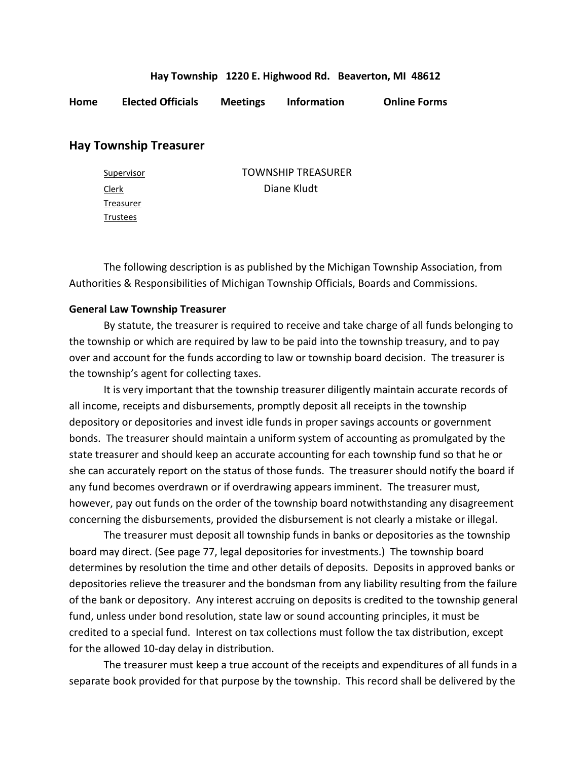## **Hay Township 1220 E. Highwood Rd. Beaverton, MI 48612**

**Home Elected Officials Meetings Information Online Forms**

## **Hay Township Treasurer**

| Supervisor | <b>TOWNSHIP TREASURER</b> |
|------------|---------------------------|
| Clerk      | Diane Kludt               |
| Treasurer  |                           |
| Trustees   |                           |

The following description is as published by the Michigan Township Association, from Authorities & Responsibilities of Michigan Township Officials, Boards and Commissions.

## **General Law Township Treasurer**

By statute, the treasurer is required to receive and take charge of all funds belonging to the township or which are required by law to be paid into the township treasury, and to pay over and account for the funds according to law or township board decision. The treasurer is the township's agent for collecting taxes.

It is very important that the township treasurer diligently maintain accurate records of all income, receipts and disbursements, promptly deposit all receipts in the township depository or depositories and invest idle funds in proper savings accounts or government bonds. The treasurer should maintain a uniform system of accounting as promulgated by the state treasurer and should keep an accurate accounting for each township fund so that he or she can accurately report on the status of those funds. The treasurer should notify the board if any fund becomes overdrawn or if overdrawing appears imminent. The treasurer must, however, pay out funds on the order of the township board notwithstanding any disagreement concerning the disbursements, provided the disbursement is not clearly a mistake or illegal.

The treasurer must deposit all township funds in banks or depositories as the township board may direct. (See page 77, legal depositories for investments.) The township board determines by resolution the time and other details of deposits. Deposits in approved banks or depositories relieve the treasurer and the bondsman from any liability resulting from the failure of the bank or depository. Any interest accruing on deposits is credited to the township general fund, unless under bond resolution, state law or sound accounting principles, it must be credited to a special fund. Interest on tax collections must follow the tax distribution, except for the allowed 10-day delay in distribution.

The treasurer must keep a true account of the receipts and expenditures of all funds in a separate book provided for that purpose by the township. This record shall be delivered by the